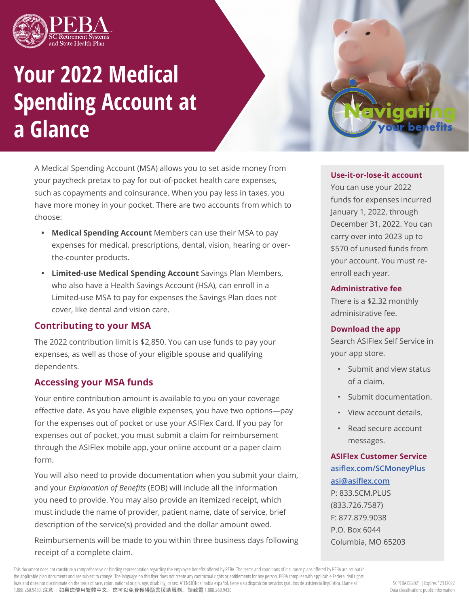

# **Your 2022 Medical Spending Account at a Glance**

A Medical Spending Account (MSA) allows you to set aside money from your paycheck pretax to pay for out-of-pocket health care expenses, such as copayments and coinsurance. When you pay less in taxes, you have more money in your pocket. There are two accounts from which to choose:

- **• Medical Spending Account** Members can use their MSA to pay expenses for medical, prescriptions, dental, vision, hearing or overthe-counter products.
- **• Limited-use Medical Spending Account** Savings Plan Members, who also have a Health Savings Account (HSA), can enroll in a Limited-use MSA to pay for expenses the Savings Plan does not cover, like dental and vision care.

## **Contributing to your MSA**

The 2022 contribution limit is \$2,850. You can use funds to pay your expenses, as well as those of your eligible spouse and qualifying dependents.

## **Accessing your MSA funds**

Your entire contribution amount is available to you on your coverage effective date. As you have eligible expenses, you have two options—pay for the expenses out of pocket or use your ASIFlex Card. If you pay for expenses out of pocket, you must submit a claim for reimbursement through the ASIFlex mobile app, your online account or a paper claim form.

You will also need to provide documentation when you submit your claim, and your *Explanation of Benefits* (EOB) will include all the information you need to provide. You may also provide an itemized receipt, which must include the name of provider, patient name, date of service, brief description of the service(s) provided and the dollar amount owed.

Reimbursements will be made to you within three business days following receipt of a complete claim.

This document does not constitute a comprehensive or binding representation regarding the employee benefits offered by PEBA. The terms and conditions of insurance plans offered by PEBA are set out in the applicable plan documents and are subject to change. The language on this flyer does not create any contractual rights or entitlements for any person. PEBA complies with applicable Federal civil rights laws and does not discriminate on the basis of race, color, national origin, age, disability, or sex. ATENCIÓN: si habla español, tiene a su disposición servicios gratuitos de asistencia lingüística. Llame al 1.888.260.9430. 注意:如果您使用繁體中文,您可以免費獲得語言援助服務。請致電 1.888.260.9430

## **Use-it-or-lose-it account**

benefits

You can use your 2022 funds for expenses incurred January 1, 2022, through December 31, 2022. You can carry over into 2023 up to \$570 of unused funds from your account. You must reenroll each year.

#### **Administrative fee**

There is a \$2.32 monthly administrative fee.

#### **Download the app**

Search ASIFlex Self Service in your app store.

- Submit and view status of a claim.
- Submit documentation.
- View account details.
- Read secure account messages.

**ASIFlex Customer Service asiflex.com/SCMoneyPlus asi@asiflex.com** P: 833.SCM.PLUS (833.726.7587) F: 877.879.9038 P.O. Box 6044 Columbia, MO 65203